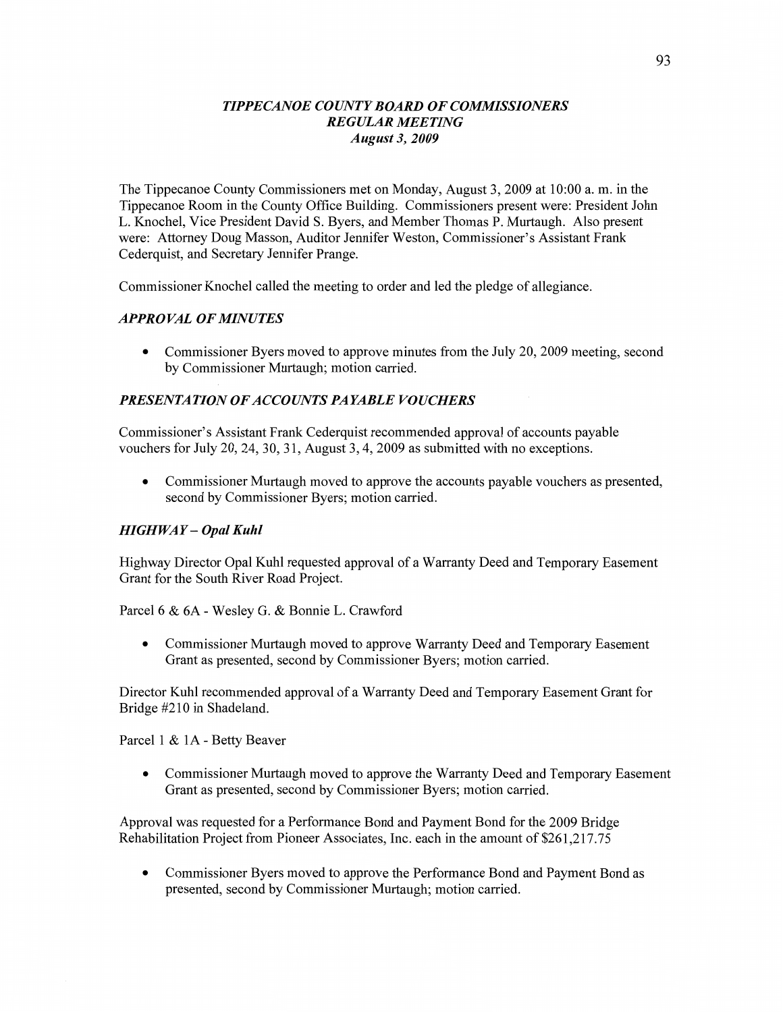## *TIPPECANOE COUNTY BOARD* OF *COMMISSIONERS REGULAR MEETING August* 3, *2009*

The Tippecanoe County Commissioners met on **Monday,** August 3, 2009 at 10:00 a. m. in the Tippecanoe Room in the County Office Building. Commissioners present were: President John L. Knochel, **Vice** President David S. Byers, and Member Thomas P. Murtaugh. Also present were: Attorney Doug Masson, Auditor Jennifer Weston, Commissioner's Assistant Frank Cederquist, and Secretary Jennifer Prange.

Commissioner Knochel called the meeting to order and led the pledge of allegiance.

## *APPROVAL* OF *MINUTES*

• Commissioner Byers moved to approve minutes from the July 20, 2009 meeting, second by Commissioner Murtaugh; motion carried.

## **PRESENTATION OF ACCOUNTS PAYABLE VOUCHERS**

Commissioner's Assistant Frank Cederquist recommended approval of accounts payable vouchers for July 20, 24, 30, 31, August 3, 4, 2009 as submitted with no **exceptions.** 

**0** Commissioner **Murtaugh moved** to approve the accounts payable vouchers as presented, second by Commissioner Byers; motion carried.

### *HIGHWAY— Opal Kuhl*

Highway Director Opal Kuhl requested approval of **3** Warranty Deed and Temporary Easement Grant for the South River Road Project.

Parcel 6 & 6A *-* Wesley G. & Bonnie L. Crawford

**0 Commissioner** Murtaugh **moved** to approve **Warranty** Deed and Temporary Easement Grant as presented, second by Commissioner Byers; motion carried.

Director Kuhl recommended approval of a Warranty Deed and Temporary Easement Grant for Bridge #210 in **Shadeland.** 

Parcel **1** & 1A *-* **Betty** Beaver

**0** Commissioner Murtaugh moved to approve the Warranty Deed and Temporary Easement Grant as presented, second by Commissioner Byers; motion carried.

Approval was requested for a Performance Bond and Payment Bond for the 2009 Bridge Rehabilitation Project from Pioneer Associates, **Inc.** each in the amount of \$261,217.75

**0** Commissioner Byers moved to approve the Performance **Bond** and Payment Bond as presented, second by Commissioner Murtaugh; motion carried.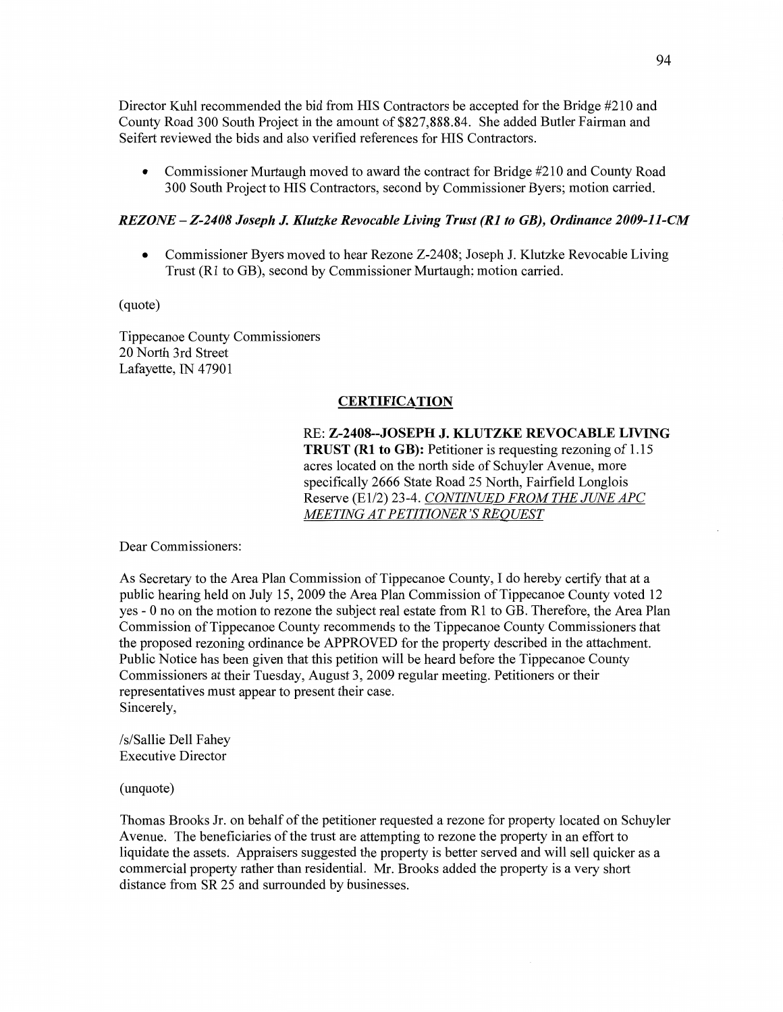Director Kuhl recommended the bid from HIS Contractors be accepted for the Bridge #210 and County Road 300 South Project in the amount of \$827,888.84. She added Butler **Fairman** and Seifert reviewed the bids and also verified references for HIS Contractors.

• Commissioner Murtaugh moved to award the contract for Bridge #210 and County Road 300 South **Project** to HIS Contractors, second by Commissioner Byers; motion carried.

### *REZONE* — *Z-2408 Joseph* J. *Klutzke Revocable Living Trust* (R1 to *GB), Ordinance 2009-11-CM*

• Commissioner Byers moved to hear Rezone Z-2408; Joseph J. Klutzke Revocable Living Trust (R1 to GB), second by Commissioner Murtaugh; motion carried.

(quote)

Tippecanoe County Commissioners 20 North 3rd Street Lafayette, IN 47901

### **CERTIFICATION**

RE: **Z-2408--JOSEPH** J. **KLUTZKE REVOCABLE LIVING TRUST** (R1 to GB): Petitioner is requesting rezoning of **1.15**  acres located on the **north** side of Schuyler Avenue, more specifically 2666 State Road 25 North, Fairfield Longlois Reserve (El/2) 23-4. *CONTINUED FROM* THE *JUNE* APC ME *TING* AT PE *TITIONER* 'S RE *OUEST* 

Dear Commissioners:

As Secretary to the Area Plan Commission of Tippecanoe County, **I** do hereby certify that at **<sup>a</sup>** public hearing held on July 15, 2009 the Area Plan Commission of Tippecanoe County voted 12 yes *-* **0** no on the motion to rezone the subject real estate from R1 to GB. Therefore, the Area Plan Commission of Tippecanoe County recommends to the Tippecanoe County Commissioners **that**  the proposed rezoning ordinance be **APPROVED** for the property described in the attachment. Public Notice has been given that this petition will be heard before the Tippecanoe County Commissioners at their Tuesday, August 3, 2009 regular meeting. Petitioners or their representatives must appear to present their case. Sincerely,

/s/Sallie Dell Fahey Executive Director

(unquote)

**Thomas** Brooks Jr. on behalf of the petitioner requested a rezone for property located on Schuyler Avenue. The beneficiaries of the trust are attempting to rezone the property in an effort to liquidate the assets. Appraisers suggested the property is better served and will sell quicker as **<sup>a</sup>** commercial property rather than residential. Mr. Brooks added the property is a very short distance from SR 25 and surrounded by businesses.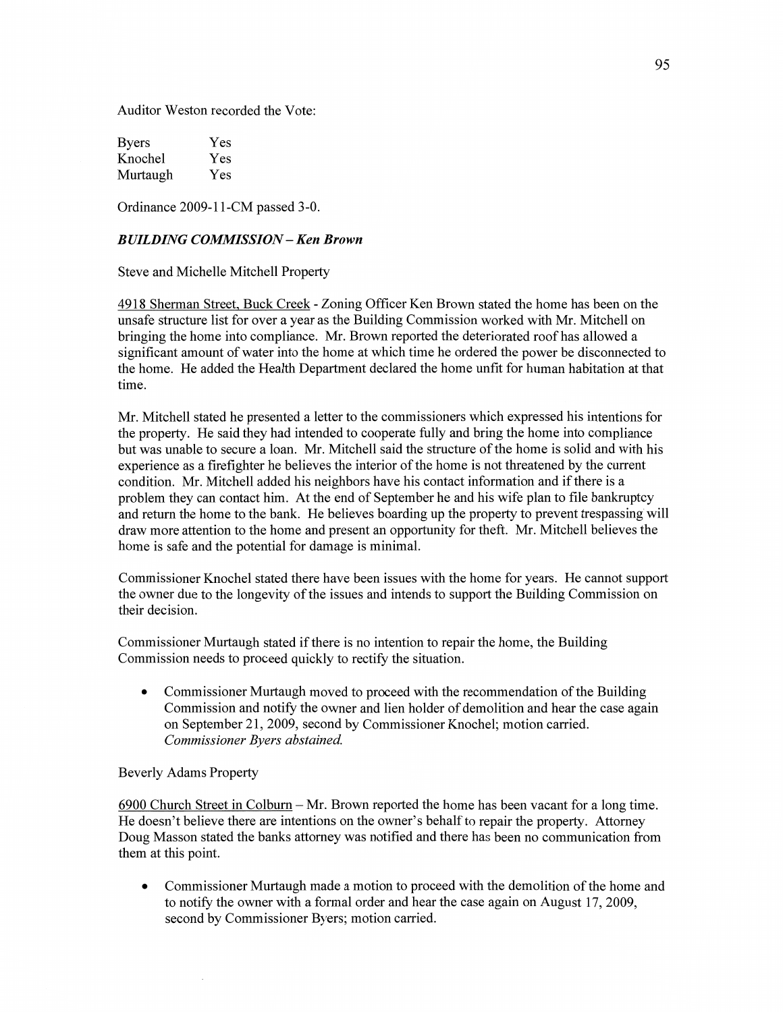Auditor Weston recorded the Vote:

| <b>Byers</b> | Yes |
|--------------|-----|
| Knochel      | Yes |
| Murtaugh     | Yes |

Ordinance 2009-11-CM passed 3-0.

### *BUILDING COMMISSION —* Ken *Brown*

Steve and Michelle Mitchell Property

4918 Sherman Street, Buck Creek - Zoning Officer Ken Brown stated the home has been on the unsafe structure list for over a year as the Building Commission worked with Mr. Mitchell on bringing the **home** into compliance. Mr. Brown reported the deteriorated roof has allowed a significant **amount** of water into the home at which time he ordered the power be disconnected to the home. He added the **Health** Department declared the home unfit for human habitation at that time.

Mr. Mitchell stated he presented **a** letter to the commissioners which expressed his intentions for the property. He said they had intended to cooperate fully and bring the home into compliance but was unable to secure **a loan.** Mr. Mitchell said the structure of the home is solid and with his experience as a firefighter he believes the interior of the home is not threatened by the current condition. Mr. Mitchell added his neighbors have his contact information and if there is a problem they can contact him. At the end of September he and his wife plan to file bankruptcy and return the home to the **bank.** He believes boarding up the property to prevent trespassing'will draw more attention to the home and present an opportunity for theft. Mr. Mitchell believes the home is safe and the potential for damage is minimal.

Commissioner **Knochel** stated there **have** been issues with the home for **years.** He cannot support the owner due to the longevity of the issues and intends to support the Building Commission on their decision.

Commissioner Murtaugh stated if there is no intention to repair the home, the Building **Commission needs** to proceed quickly to rectify the **situation.** 

**0** Commissioner Murtaugh moved to proceed with the recommendation of the Building Commission and notify the owner and **lien holder** of demolition and hear the case again on September 21, 2009, second by Commissioner Knochel; motion carried. *Commissioner Byers abstained.* 

#### Beverly Adams Property

6900 Church Street in Colbum **—** Mr. Brown reported the home has been vacant for a long time. He doesn't believe there are intentions on the owner's behalf to repair the property. Attorney Doug Masson stated the banks attorney was notified and there has been no communication from them at this point.

**0** Commissioner Murtaugh made a motion to proceed with the demolition of the **home** and to notify the owner with **a** formal order and hear the case again on August 17, 2009, second by Commissioner Byers; motion carried.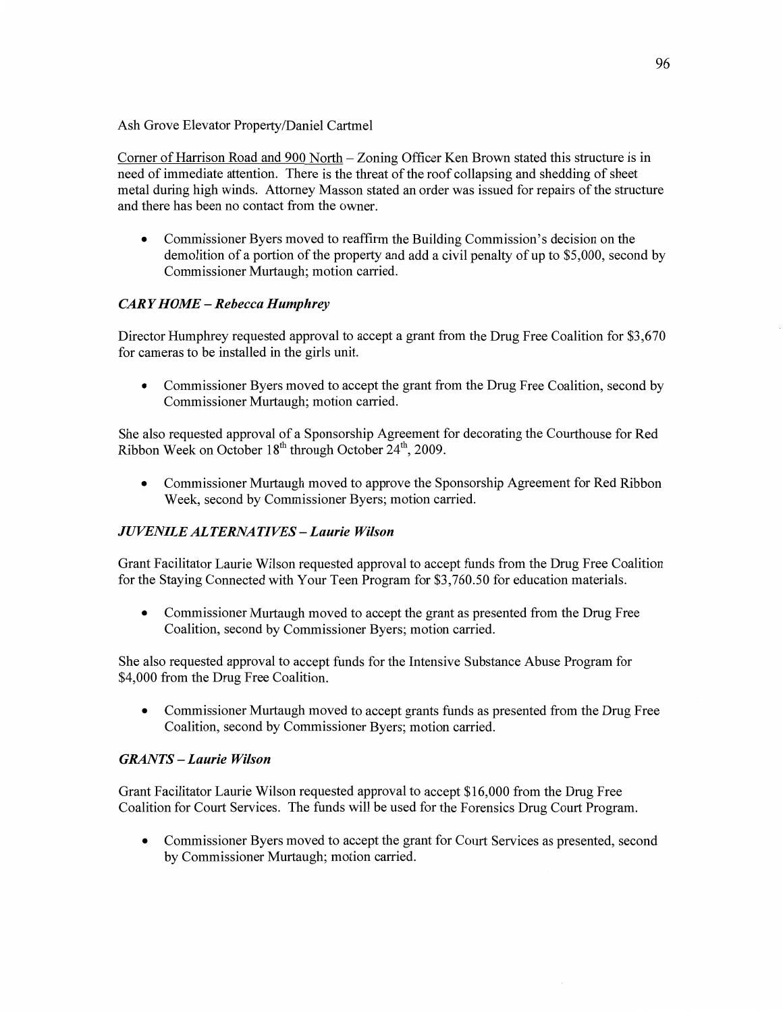Ash Grove Elevator Property/Daniel Cartmel

Comer of Harrison **Road** and 900 North *—* Zoning Officer Ken Brown stated **this** structure is in **need** of immediate **attention.** There is the threat of the roof collapsing and shedding of sheet metal during high **winds.** Attorney Masson **stated** an order was issued for repairs of the structure and there has been no contact from the owner.

**0** Commissioner Byers moved to reaffirm the Building Commission's decision on the demolition of **a** portion of the property and add **a** civil penalty of up to \$5,000, second by Commissioner Murtaugh; motion carried.

# *CARY HOME* **—** *Rebecca Humphrey*

Director Humphrey requested approval to accept **<sup>a</sup>**grant from the Drug Free Coalition for \$3,670 for cameras to be installed in the girls **unit.** 

• Commissioner Byers moved to accept the grant from the Drug Free Coalition, second by Commissioner Murtaugh; motion carried.

She also requested approval of **a** Sponsorship Agreement for decorating the Courthouse for Red Ribbon Week on October  $18<sup>th</sup>$  through October  $24<sup>th</sup>$ , 2009.

**0** Commissioner Murtaugh moved to approve the Sponsorship Agreement for Red Ribbon Week, second by Commissioner Byers; motion carried.

# *JUVENILE* AL *TERNA* TI VES — *Laurie Wilson*

Grant Facilitator Laurie Wilson requested approval to accept **funds** from the Drug Free Coalition for the Staying Connected with Your **Teen** Program for \$3,760.50 for education materials.

**0** Commissioner Murtaugh moved to accept the grant as presented from the Drug Free Coalition, second by Commissioner Byers; motion carried.

She also requested approval to accept **funds** for the Intensive Substance Abuse Program for \$4,000 **from** the Drug Free Coalition.

**0** Commissioner Murtaugh moved to accept grants **fimds** as presented from the Drug Free Coalition, second by Commissioner Byers; motion carried.

# *GRANTS* **—** *Laurie Wilson*

Grant Facilitator Laurie Wilson requested approval to accept \$16,000 from the Drug Free Coalition for Court **Services.** The **funds** will be used for the Forensics Drug Court Program.

**0** Commissioner Byers moved to accept the grant for Court Services as presented, second by Commissioner Murtaugh; motion **carried.**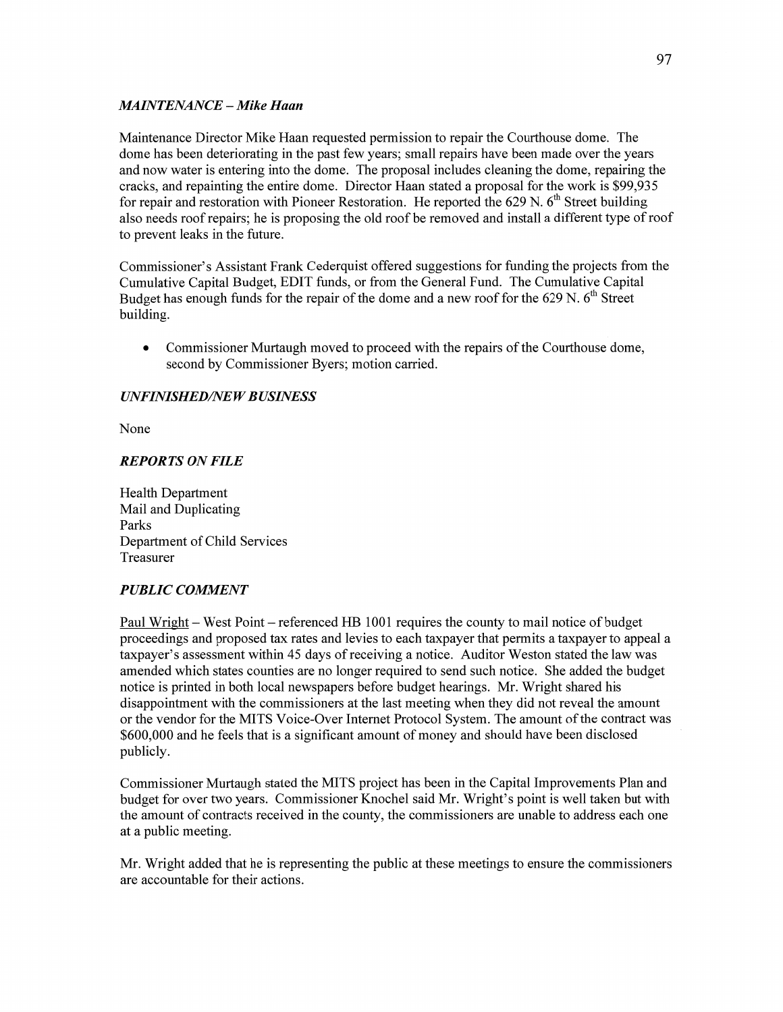# *MAINTENANCE – Mike Haan*

Maintenance Director Mike Haan requested permission to repair the Courthouse dome. The dome has been deteriorating in the past few years; small repairs have been made over the years and now water is entering into the dome. The proposal includes cleaning the dome, repairing the cracks, and repainting the entire dome. Director Haan stated a proposal for the work is \$99,935 for repair and restoration with Pioneer Restoration. He reported the 629 N.  $6<sup>th</sup>$  Street building also needs roof repairs; he is proposing the old roof be removed and install **a** different type of roof to prevent leaks in the future.

Commissioner's Assistant Frank Cederquist offered suggestions for funding the projects from the Cumulative Capital Budget, EDIT fimds, or from the General Fund. The Cumulative Capital Budget has enough funds for the repair of the dome and a new roof for the 629 N. 6<sup>th</sup> Street building.

**0** Commissioner Murtaugh moved to proceed with the repairs of the Courthouse dome, second by Commissioner Byers; motion carried.

# *UNFINISHED/NEW BUSINESS*

None

## *REPORTS* ON *FILE*

Health Department Mail and Duplicating Parks Department of Child Services Treasurer

# *PUBLIC COMMENT*

Paul Wright **—** West Point — referenced HE 1001 requires the county to mail notice of budget proceedings and proposed tax rates and levies to each taxpayer that permits a taxpayer to appeal **a**  taxpayer's assessment within 45 days of receiving a notice. Auditor Weston stated the law was amended which states counties are no longer required to send such notice. She added the budget notice is printed in both local newspapers before budget hearings. Mr. Wright shared his disappointment with the commissioners at the last meeting when they did not reveal the amount or the vendor for the **MITS** Voice-Over Internet Protocol System. The amount of the contract was \$600,000 and he feels that is a significant amount of money and should **have** been disclosed ' publicly.

Commissioner Murtaugh stated the MITS project has been in the Capital Improvements Plan and budget for over two years. Commissioner Knochel said Mr. Wright's point is well taken but with the amount of contracts received in the county, the commissioners are unable to address each one at a public meeting.

Mr. Wright added that he is representing the public at these meetings to ensure the commissioners are accountable for their actions.